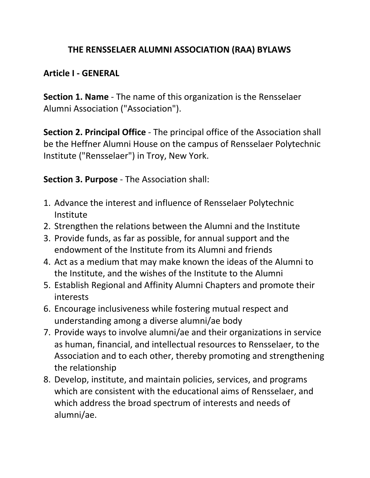## **THE RENSSELAER ALUMNI ASSOCIATION (RAA) BYLAWS**

### **Article I ‐ GENERAL**

**Section 1. Name** ‐ The name of this organization is the Rensselaer Alumni Association ("Association").

**Section 2. Principal Office** ‐ The principal office of the Association shall be the Heffner Alumni House on the campus of Rensselaer Polytechnic Institute ("Rensselaer") in Troy, New York.

**Section 3. Purpose** ‐ The Association shall:

- 1. Advance the interest and influence of Rensselaer Polytechnic Institute
- 2. Strengthen the relations between the Alumni and the Institute
- 3. Provide funds, as far as possible, for annual support and the endowment of the Institute from its Alumni and friends
- 4. Act as a medium that may make known the ideas of the Alumni to the Institute, and the wishes of the Institute to the Alumni
- 5. Establish Regional and Affinity Alumni Chapters and promote their interests
- 6. Encourage inclusiveness while fostering mutual respect and understanding among a diverse alumni/ae body
- 7. Provide ways to involve alumni/ae and their organizations in service as human, financial, and intellectual resources to Rensselaer, to the Association and to each other, thereby promoting and strengthening the relationship
- 8. Develop, institute, and maintain policies, services, and programs which are consistent with the educational aims of Rensselaer, and which address the broad spectrum of interests and needs of alumni/ae.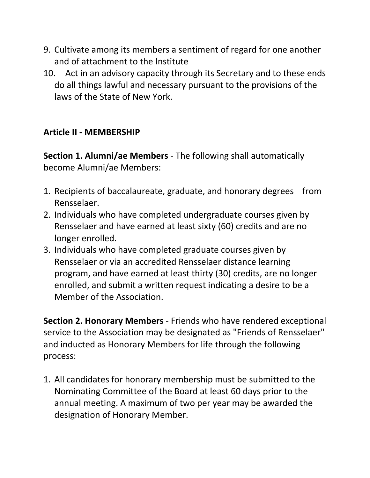- 9. Cultivate among its members a sentiment of regard for one another and of attachment to the Institute
- 10. Act in an advisory capacity through its Secretary and to these ends do all things lawful and necessary pursuant to the provisions of the laws of the State of New York.

# **Article II ‐ MEMBERSHIP**

**Section 1. Alumni/ae Members** ‐ The following shall automatically become Alumni/ae Members:

- 1. Recipients of baccalaureate, graduate, and honorary degrees from Rensselaer.
- 2. Individuals who have completed undergraduate courses given by Rensselaer and have earned at least sixty (60) credits and are no longer enrolled.
- 3. Individuals who have completed graduate courses given by Rensselaer or via an accredited Rensselaer distance learning program, and have earned at least thirty (30) credits, are no longer enrolled, and submit a written request indicating a desire to be a Member of the Association.

**Section 2. Honorary Members** ‐ Friends who have rendered exceptional service to the Association may be designated as "Friends of Rensselaer" and inducted as Honorary Members for life through the following process:

1. All candidates for honorary membership must be submitted to the Nominating Committee of the Board at least 60 days prior to the annual meeting. A maximum of two per year may be awarded the designation of Honorary Member.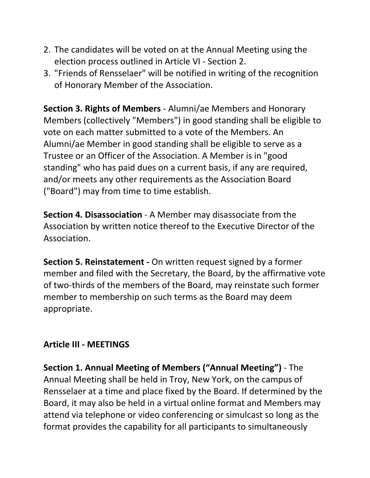- 2. The candidates will be voted on at the Annual Meeting using the election process outlined in Article VI ‐ Section 2.
- 3. "Friends of Rensselaer" will be notified in writing of the recognition of Honorary Member of the Association.

**Section 3. Rights of Members** ‐ Alumni/ae Members and Honorary Members (collectively "Members") in good standing shall be eligible to vote on each matter submitted to a vote of the Members. An Alumni/ae Member in good standing shall be eligible to serve as a Trustee or an Officer of the Association. A Member is in "good standing" who has paid dues on a current basis, if any are required, and/or meets any other requirements as the Association Board ("Board") may from time to time establish.

**Section 4. Disassociation** ‐ A Member may disassociate from the Association by written notice thereof to the Executive Director of the Association.

**Section 5. Reinstatement ‐** On written request signed by a former member and filed with the Secretary, the Board, by the affirmative vote of two‐thirds of the members of the Board, may reinstate such former member to membership on such terms as the Board may deem appropriate.

### **Article III ‐ MEETINGS**

**Section 1. Annual Meeting of Members ("Annual Meeting")** ‐ The Annual Meeting shall be held in Troy, New York, on the campus of Rensselaer at a time and place fixed by the Board. If determined by the Board, it may also be held in a virtual online format and Members may attend via telephone or video conferencing or simulcast so long as the format provides the capability for all participants to simultaneously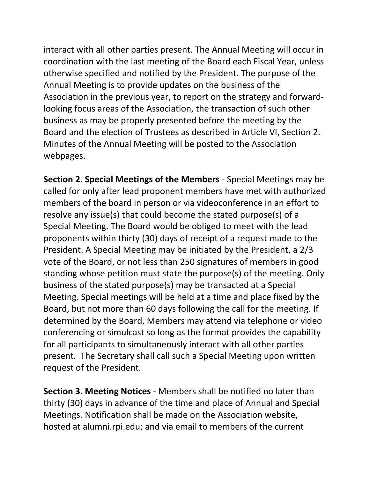interact with all other parties present. The Annual Meeting will occur in coordination with the last meeting of the Board each Fiscal Year, unless otherwise specified and notified by the President. The purpose of the Annual Meeting is to provide updates on the business of the Association in the previous year, to report on the strategy and forward‐ looking focus areas of the Association, the transaction of such other business as may be properly presented before the meeting by the Board and the election of Trustees as described in Article VI, Section 2. Minutes of the Annual Meeting will be posted to the Association webpages.

**Section 2. Special Meetings of the Members** ‐ Special Meetings may be called for only after lead proponent members have met with authorized members of the board in person or via videoconference in an effort to resolve any issue(s) that could become the stated purpose(s) of a Special Meeting. The Board would be obliged to meet with the lead proponents within thirty (30) days of receipt of a request made to the President. A Special Meeting may be initiated by the President, a 2/3 vote of the Board, or not less than 250 signatures of members in good standing whose petition must state the purpose(s) of the meeting. Only business of the stated purpose(s) may be transacted at a Special Meeting. Special meetings will be held at a time and place fixed by the Board, but not more than 60 days following the call for the meeting. If determined by the Board, Members may attend via telephone or video conferencing or simulcast so long as the format provides the capability for all participants to simultaneously interact with all other parties present. The Secretary shall call such a Special Meeting upon written request of the President.

**Section 3. Meeting Notices** ‐ Members shall be notified no later than thirty (30) days in advance of the time and place of Annual and Special Meetings. Notification shall be made on the Association website, hosted at alumni.rpi.edu; and via email to members of the current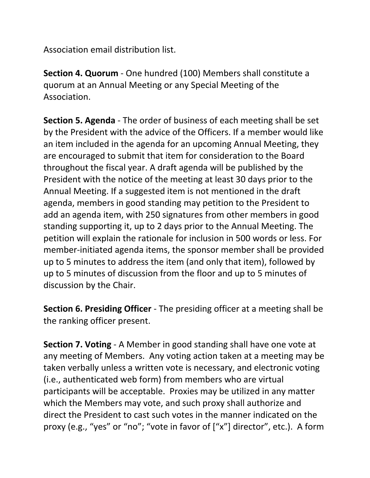Association email distribution list.

**Section 4. Quorum** ‐ One hundred (100) Members shall constitute a quorum at an Annual Meeting or any Special Meeting of the Association.

**Section 5. Agenda** ‐ The order of business of each meeting shall be set by the President with the advice of the Officers. If a member would like an item included in the agenda for an upcoming Annual Meeting, they are encouraged to submit that item for consideration to the Board throughout the fiscal year. A draft agenda will be published by the President with the notice of the meeting at least 30 days prior to the Annual Meeting. If a suggested item is not mentioned in the draft agenda, members in good standing may petition to the President to add an agenda item, with 250 signatures from other members in good standing supporting it, up to 2 days prior to the Annual Meeting. The petition will explain the rationale for inclusion in 500 words or less. For member-initiated agenda items, the sponsor member shall be provided up to 5 minutes to address the item (and only that item), followed by up to 5 minutes of discussion from the floor and up to 5 minutes of discussion by the Chair.

**Section 6. Presiding Officer** ‐ The presiding officer at a meeting shall be the ranking officer present.

**Section 7. Voting** ‐ A Member in good standing shall have one vote at any meeting of Members. Any voting action taken at a meeting may be taken verbally unless a written vote is necessary, and electronic voting (i.e., authenticated web form) from members who are virtual participants will be acceptable. Proxies may be utilized in any matter which the Members may vote, and such proxy shall authorize and direct the President to cast such votes in the manner indicated on the proxy (e.g., "yes" or "no"; "vote in favor of ["x"] director", etc.). A form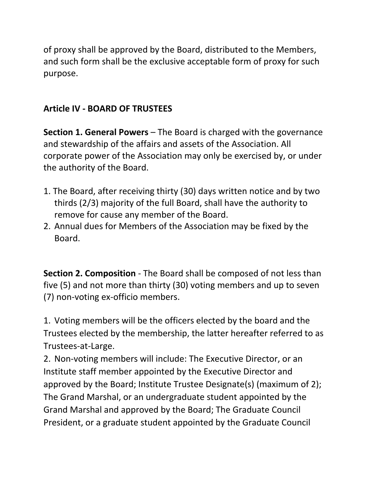of proxy shall be approved by the Board, distributed to the Members, and such form shall be the exclusive acceptable form of proxy for such purpose.

### **Article IV ‐ BOARD OF TRUSTEES**

**Section 1. General Powers** – The Board is charged with the governance and stewardship of the affairs and assets of the Association. All corporate power of the Association may only be exercised by, or under the authority of the Board.

- 1. The Board, after receiving thirty (30) days written notice and by two thirds (2/3) majority of the full Board, shall have the authority to remove for cause any member of the Board.
- 2. Annual dues for Members of the Association may be fixed by the Board.

**Section 2. Composition** ‐ The Board shall be composed of not less than five (5) and not more than thirty (30) voting members and up to seven (7) non‐voting ex‐officio members.

1. Voting members will be the officers elected by the board and the Trustees elected by the membership, the latter hereafter referred to as Trustees‐at‐Large.

2. Non‐voting members will include: The Executive Director, or an Institute staff member appointed by the Executive Director and approved by the Board; Institute Trustee Designate(s) (maximum of 2); The Grand Marshal, or an undergraduate student appointed by the Grand Marshal and approved by the Board; The Graduate Council President, or a graduate student appointed by the Graduate Council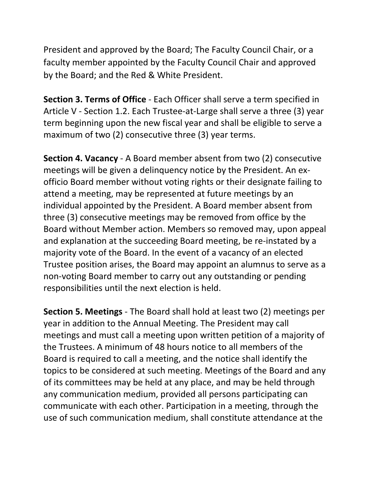President and approved by the Board; The Faculty Council Chair, or a faculty member appointed by the Faculty Council Chair and approved by the Board; and the Red & White President.

**Section 3. Terms of Office** ‐ Each Officer shall serve a term specified in Article V ‐ Section 1.2. Each Trustee‐at‐Large shall serve a three (3) year term beginning upon the new fiscal year and shall be eligible to serve a maximum of two (2) consecutive three (3) year terms.

**Section 4. Vacancy** ‐ A Board member absent from two (2) consecutive meetings will be given a delinquency notice by the President. An exofficio Board member without voting rights or their designate failing to attend a meeting, may be represented at future meetings by an individual appointed by the President. A Board member absent from three (3) consecutive meetings may be removed from office by the Board without Member action. Members so removed may, upon appeal and explanation at the succeeding Board meeting, be re‐instated by a majority vote of the Board. In the event of a vacancy of an elected Trustee position arises, the Board may appoint an alumnus to serve as a non‐voting Board member to carry out any outstanding or pending responsibilities until the next election is held.

**Section 5. Meetings** ‐ The Board shall hold at least two (2) meetings per year in addition to the Annual Meeting. The President may call meetings and must call a meeting upon written petition of a majority of the Trustees. A minimum of 48 hours notice to all members of the Board is required to call a meeting, and the notice shall identify the topics to be considered at such meeting. Meetings of the Board and any of its committees may be held at any place, and may be held through any communication medium, provided all persons participating can communicate with each other. Participation in a meeting, through the use of such communication medium, shall constitute attendance at the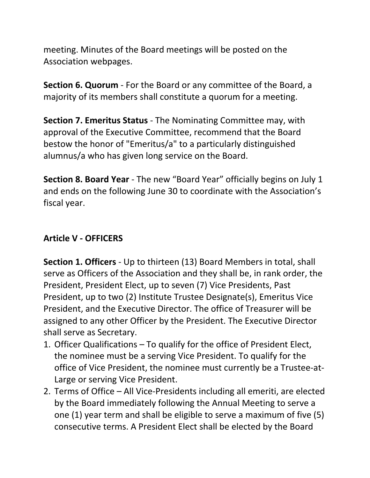meeting. Minutes of the Board meetings will be posted on the Association webpages.

**Section 6. Quorum** ‐ For the Board or any committee of the Board, a majority of its members shall constitute a quorum for a meeting.

**Section 7. Emeritus Status** ‐ The Nominating Committee may, with approval of the Executive Committee, recommend that the Board bestow the honor of "Emeritus/a" to a particularly distinguished alumnus/a who has given long service on the Board.

**Section 8. Board Year** ‐ The new "Board Year" officially begins on July 1 and ends on the following June 30 to coordinate with the Association's fiscal year.

## **Article V ‐ OFFICERS**

**Section 1. Officers** ‐ Up to thirteen (13) Board Members in total, shall serve as Officers of the Association and they shall be, in rank order, the President, President Elect, up to seven (7) Vice Presidents, Past President, up to two (2) Institute Trustee Designate(s), Emeritus Vice President, and the Executive Director. The office of Treasurer will be assigned to any other Officer by the President. The Executive Director shall serve as Secretary.

- 1. Officer Qualifications To qualify for the office of President Elect, the nominee must be a serving Vice President. To qualify for the office of Vice President, the nominee must currently be a Trustee‐at‐ Large or serving Vice President.
- 2. Terms of Office All Vice‐Presidents including all emeriti, are elected by the Board immediately following the Annual Meeting to serve a one (1) year term and shall be eligible to serve a maximum of five (5) consecutive terms. A President Elect shall be elected by the Board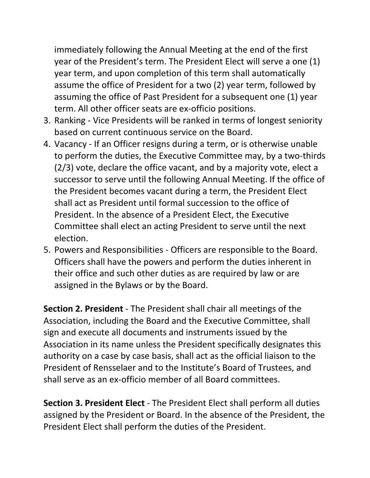immediately following the Annual Meeting at the end of the first year of the President's term. The President Elect will serve a one (1) year term, and upon completion of this term shall automatically assume the office of President for a two (2) year term, followed by assuming the office of Past President for a subsequent one (1) year term. All other officer seats are ex‐officio positions.

- 3. Ranking ‐ Vice Presidents will be ranked in terms of longest seniority based on current continuous service on the Board.
- 4. Vacancy ‐ If an Officer resigns during a term, or is otherwise unable to perform the duties, the Executive Committee may, by a two‐thirds (2/3) vote, declare the office vacant, and by a majority vote, elect a successor to serve until the following Annual Meeting. If the office of the President becomes vacant during a term, the President Elect shall act as President until formal succession to the office of President. In the absence of a President Elect, the Executive Committee shall elect an acting President to serve until the next election.
- 5. Powers and Responsibilities ‐ Officers are responsible to the Board. Officers shall have the powers and perform the duties inherent in their office and such other duties as are required by law or are assigned in the Bylaws or by the Board.

**Section 2. President** ‐ The President shall chair all meetings of the Association, including the Board and the Executive Committee, shall sign and execute all documents and instruments issued by the Association in its name unless the President specifically designates this authority on a case by case basis, shall act as the official liaison to the President of Rensselaer and to the Institute's Board of Trustees, and shall serve as an ex‐officio member of all Board committees.

**Section 3. President Elect** ‐ The President Elect shall perform all duties assigned by the President or Board. In the absence of the President, the President Elect shall perform the duties of the President.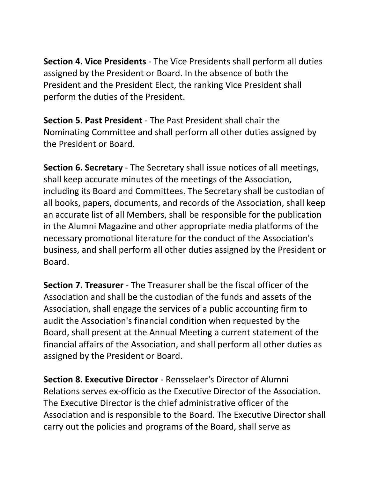**Section 4. Vice Presidents** ‐ The Vice Presidents shall perform all duties assigned by the President or Board. In the absence of both the President and the President Elect, the ranking Vice President shall perform the duties of the President.

**Section 5. Past President** ‐ The Past President shall chair the Nominating Committee and shall perform all other duties assigned by the President or Board.

**Section 6. Secretary** ‐ The Secretary shall issue notices of all meetings, shall keep accurate minutes of the meetings of the Association, including its Board and Committees. The Secretary shall be custodian of all books, papers, documents, and records of the Association, shall keep an accurate list of all Members, shall be responsible for the publication in the Alumni Magazine and other appropriate media platforms of the necessary promotional literature for the conduct of the Association's business, and shall perform all other duties assigned by the President or Board.

**Section 7. Treasurer** ‐ The Treasurer shall be the fiscal officer of the Association and shall be the custodian of the funds and assets of the Association, shall engage the services of a public accounting firm to audit the Association's financial condition when requested by the Board, shall present at the Annual Meeting a current statement of the financial affairs of the Association, and shall perform all other duties as assigned by the President or Board.

**Section 8. Executive Director** ‐ Rensselaer's Director of Alumni Relations serves ex‐officio as the Executive Director of the Association. The Executive Director is the chief administrative officer of the Association and is responsible to the Board. The Executive Director shall carry out the policies and programs of the Board, shall serve as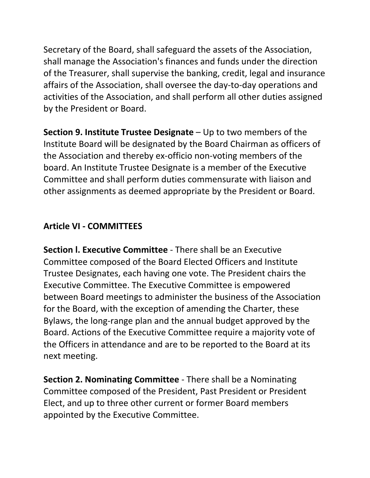Secretary of the Board, shall safeguard the assets of the Association, shall manage the Association's finances and funds under the direction of the Treasurer, shall supervise the banking, credit, legal and insurance affairs of the Association, shall oversee the day‐to‐day operations and activities of the Association, and shall perform all other duties assigned by the President or Board.

**Section 9. Institute Trustee Designate** – Up to two members of the Institute Board will be designated by the Board Chairman as officers of the Association and thereby ex‐officio non‐voting members of the board. An Institute Trustee Designate is a member of the Executive Committee and shall perform duties commensurate with liaison and other assignments as deemed appropriate by the President or Board.

## **Article VI ‐ COMMITTEES**

**Section l. Executive Committee** ‐ There shall be an Executive Committee composed of the Board Elected Officers and Institute Trustee Designates, each having one vote. The President chairs the Executive Committee. The Executive Committee is empowered between Board meetings to administer the business of the Association for the Board, with the exception of amending the Charter, these Bylaws, the long‐range plan and the annual budget approved by the Board. Actions of the Executive Committee require a majority vote of the Officers in attendance and are to be reported to the Board at its next meeting.

**Section 2. Nominating Committee** ‐ There shall be a Nominating Committee composed of the President, Past President or President Elect, and up to three other current or former Board members appointed by the Executive Committee.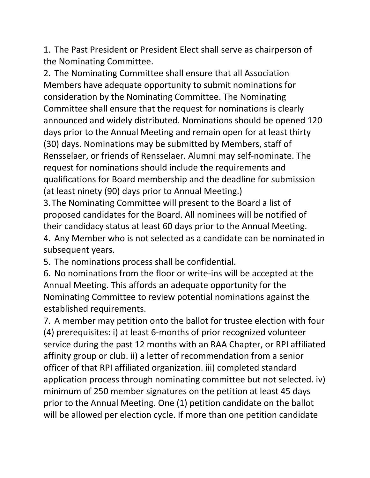1. The Past President or President Elect shall serve as chairperson of the Nominating Committee.

2. The Nominating Committee shall ensure that all Association Members have adequate opportunity to submit nominations for consideration by the Nominating Committee. The Nominating Committee shall ensure that the request for nominations is clearly announced and widely distributed. Nominations should be opened 120 days prior to the Annual Meeting and remain open for at least thirty (30) days. Nominations may be submitted by Members, staff of Rensselaer, or friends of Rensselaer. Alumni may self‐nominate. The request for nominations should include the requirements and qualifications for Board membership and the deadline for submission (at least ninety (90) days prior to Annual Meeting.)

3.The Nominating Committee will present to the Board a list of proposed candidates for the Board. All nominees will be notified of their candidacy status at least 60 days prior to the Annual Meeting. 4. Any Member who is not selected as a candidate can be nominated in

subsequent years.

5. The nominations process shall be confidential.

6. No nominations from the floor or write‐ins will be accepted at the Annual Meeting. This affords an adequate opportunity for the Nominating Committee to review potential nominations against the established requirements.

7. A member may petition onto the ballot for trustee election with four (4) prerequisites: i) at least 6‐months of prior recognized volunteer service during the past 12 months with an RAA Chapter, or RPI affiliated affinity group or club. ii) a letter of recommendation from a senior officer of that RPI affiliated organization. iii) completed standard application process through nominating committee but not selected. iv) minimum of 250 member signatures on the petition at least 45 days prior to the Annual Meeting. One (1) petition candidate on the ballot will be allowed per election cycle. If more than one petition candidate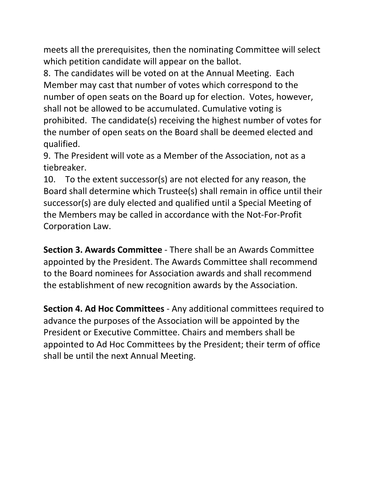meets all the prerequisites, then the nominating Committee will select which petition candidate will appear on the ballot.

8. The candidates will be voted on at the Annual Meeting. Each Member may cast that number of votes which correspond to the number of open seats on the Board up for election. Votes, however, shall not be allowed to be accumulated. Cumulative voting is prohibited. The candidate(s) receiving the highest number of votes for the number of open seats on the Board shall be deemed elected and qualified.

9. The President will vote as a Member of the Association, not as a tiebreaker.

10. To the extent successor(s) are not elected for any reason, the Board shall determine which Trustee(s) shall remain in office until their successor(s) are duly elected and qualified until a Special Meeting of the Members may be called in accordance with the Not‐For‐Profit Corporation Law.

**Section 3. Awards Committee** ‐ There shall be an Awards Committee appointed by the President. The Awards Committee shall recommend to the Board nominees for Association awards and shall recommend the establishment of new recognition awards by the Association.

**Section 4. Ad Hoc Committees** ‐ Any additional committees required to advance the purposes of the Association will be appointed by the President or Executive Committee. Chairs and members shall be appointed to Ad Hoc Committees by the President; their term of office shall be until the next Annual Meeting.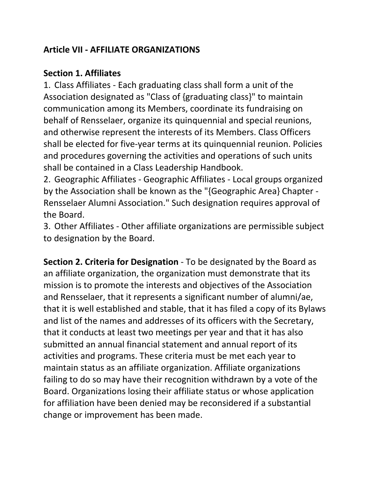## **Article VII ‐ AFFILIATE ORGANIZATIONS**

#### **Section 1. Affiliates**

1. Class Affiliates ‐ Each graduating class shall form a unit of the Association designated as "Class of {graduating class}" to maintain communication among its Members, coordinate its fundraising on behalf of Rensselaer, organize its quinquennial and special reunions, and otherwise represent the interests of its Members. Class Officers shall be elected for five‐year terms at its quinquennial reunion. Policies and procedures governing the activities and operations of such units shall be contained in a Class Leadership Handbook.

2. Geographic Affiliates ‐ Geographic Affiliates ‐ Local groups organized by the Association shall be known as the "{Geographic Area} Chapter ‐ Rensselaer Alumni Association." Such designation requires approval of the Board.

3. Other Affiliates ‐ Other affiliate organizations are permissible subject to designation by the Board.

**Section 2. Criteria for Designation** ‐ To be designated by the Board as an affiliate organization, the organization must demonstrate that its mission is to promote the interests and objectives of the Association and Rensselaer, that it represents a significant number of alumni/ae, that it is well established and stable, that it has filed a copy of its Bylaws and list of the names and addresses of its officers with the Secretary, that it conducts at least two meetings per year and that it has also submitted an annual financial statement and annual report of its activities and programs. These criteria must be met each year to maintain status as an affiliate organization. Affiliate organizations failing to do so may have their recognition withdrawn by a vote of the Board. Organizations losing their affiliate status or whose application for affiliation have been denied may be reconsidered if a substantial change or improvement has been made.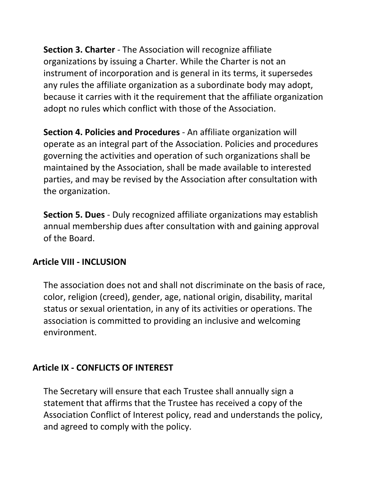**Section 3. Charter** ‐ The Association will recognize affiliate organizations by issuing a Charter. While the Charter is not an instrument of incorporation and is general in its terms, it supersedes any rules the affiliate organization as a subordinate body may adopt, because it carries with it the requirement that the affiliate organization adopt no rules which conflict with those of the Association.

**Section 4. Policies and Procedures** ‐ An affiliate organization will operate as an integral part of the Association. Policies and procedures governing the activities and operation of such organizations shall be maintained by the Association, shall be made available to interested parties, and may be revised by the Association after consultation with the organization.

**Section 5. Dues** ‐ Duly recognized affiliate organizations may establish annual membership dues after consultation with and gaining approval of the Board.

### **Article VIII ‐ INCLUSION**

The association does not and shall not discriminate on the basis of race, color, religion (creed), gender, age, national origin, disability, marital status or sexual orientation, in any of its activities or operations. The association is committed to providing an inclusive and welcoming environment.

### **Article IX ‐ CONFLICTS OF INTEREST**

The Secretary will ensure that each Trustee shall annually sign a statement that affirms that the Trustee has received a copy of the Association Conflict of Interest policy, read and understands the policy, and agreed to comply with the policy.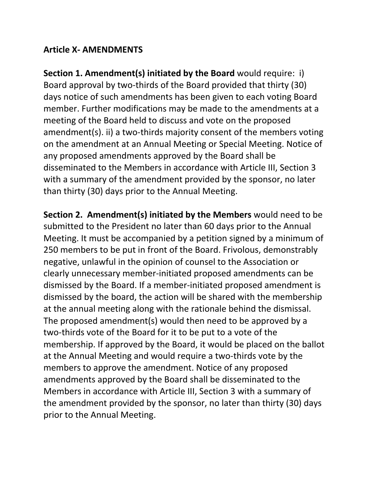### **Article X‐ AMENDMENTS**

**Section 1. Amendment(s) initiated by the Board** would require: i) Board approval by two‐thirds of the Board provided that thirty (30) days notice of such amendments has been given to each voting Board member. Further modifications may be made to the amendments at a meeting of the Board held to discuss and vote on the proposed amendment(s). ii) a two-thirds majority consent of the members voting on the amendment at an Annual Meeting or Special Meeting. Notice of any proposed amendments approved by the Board shall be disseminated to the Members in accordance with Article III, Section 3 with a summary of the amendment provided by the sponsor, no later than thirty (30) days prior to the Annual Meeting.

**Section 2. Amendment(s) initiated by the Members** would need to be submitted to the President no later than 60 days prior to the Annual Meeting. It must be accompanied by a petition signed by a minimum of 250 members to be put in front of the Board. Frivolous, demonstrably negative, unlawful in the opinion of counsel to the Association or clearly unnecessary member‐initiated proposed amendments can be dismissed by the Board. If a member‐initiated proposed amendment is dismissed by the board, the action will be shared with the membership at the annual meeting along with the rationale behind the dismissal. The proposed amendment(s) would then need to be approved by a two‐thirds vote of the Board for it to be put to a vote of the membership. If approved by the Board, it would be placed on the ballot at the Annual Meeting and would require a two‐thirds vote by the members to approve the amendment. Notice of any proposed amendments approved by the Board shall be disseminated to the Members in accordance with Article III, Section 3 with a summary of the amendment provided by the sponsor, no later than thirty (30) days prior to the Annual Meeting.